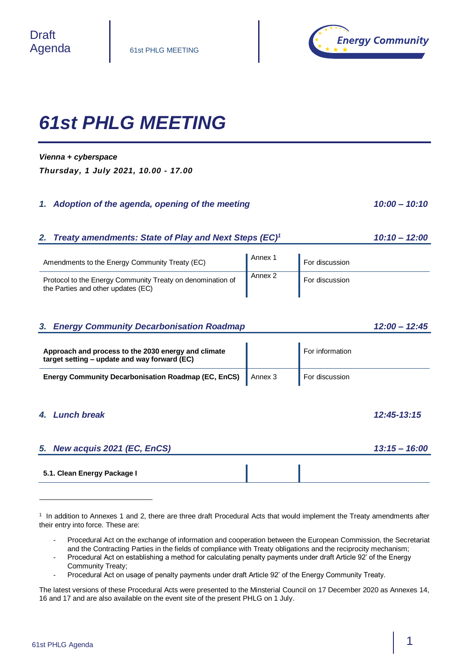

# *61st PHLG MEETING*

#### *Vienna + cyberspace*

*Thursday, 1 July 2021, 10.00 - 17.00*

### *1. Adoption of the agenda, opening of the meeting 10:00 - 10:10*

# *2. Treaty amendments: State of Play and Next Steps (EC)<sup>1</sup> 10:10 – 12:00*

| Amendments to the Energy Community Treaty (EC)                                                   | Annex 1 | For discussion |
|--------------------------------------------------------------------------------------------------|---------|----------------|
| Protocol to the Energy Community Treaty on denomination of<br>the Parties and other updates (EC) | Annex 2 | For discussion |

# *3. Energy Community Decarbonisation Roadmap 12:00 – 12:45*

| Approach and process to the 2030 energy and climate<br>target setting – update and way forward (EC) |         | For information |
|-----------------------------------------------------------------------------------------------------|---------|-----------------|
| <b>Energy Community Decarbonisation Roadmap (EC, EnCS)</b>                                          | Annex 3 | For discussion  |

# *4. Lunch break 12:45-13:15*

l

| 5. New acquis 2021 (EC, EnCS) | <u>13:15 – 16:00</u> |
|-------------------------------|----------------------|
|                               |                      |
| 5.1. Clean Energy Package I   |                      |

- Procedural Act on the exchange of information and cooperation between the European Commission, the Secretariat and the Contracting Parties in the fields of compliance with Treaty obligations and the reciprocity mechanism;
- Procedural Act on establishing a method for calculating penalty payments under draft Article 92' of the Energy Community Treaty;
- Procedural Act on usage of penalty payments under draft Article 92' of the Energy Community Treaty.

The latest versions of these Procedural Acts were presented to the Minsterial Council on 17 December 2020 as Annexes 14, 16 and 17 and are also available on the event site of the present PHLG on 1 July.

<sup>1</sup> In addition to Annexes 1 and 2, there are three draft Procedural Acts that would implement the Treaty amendments after their entry into force. These are: